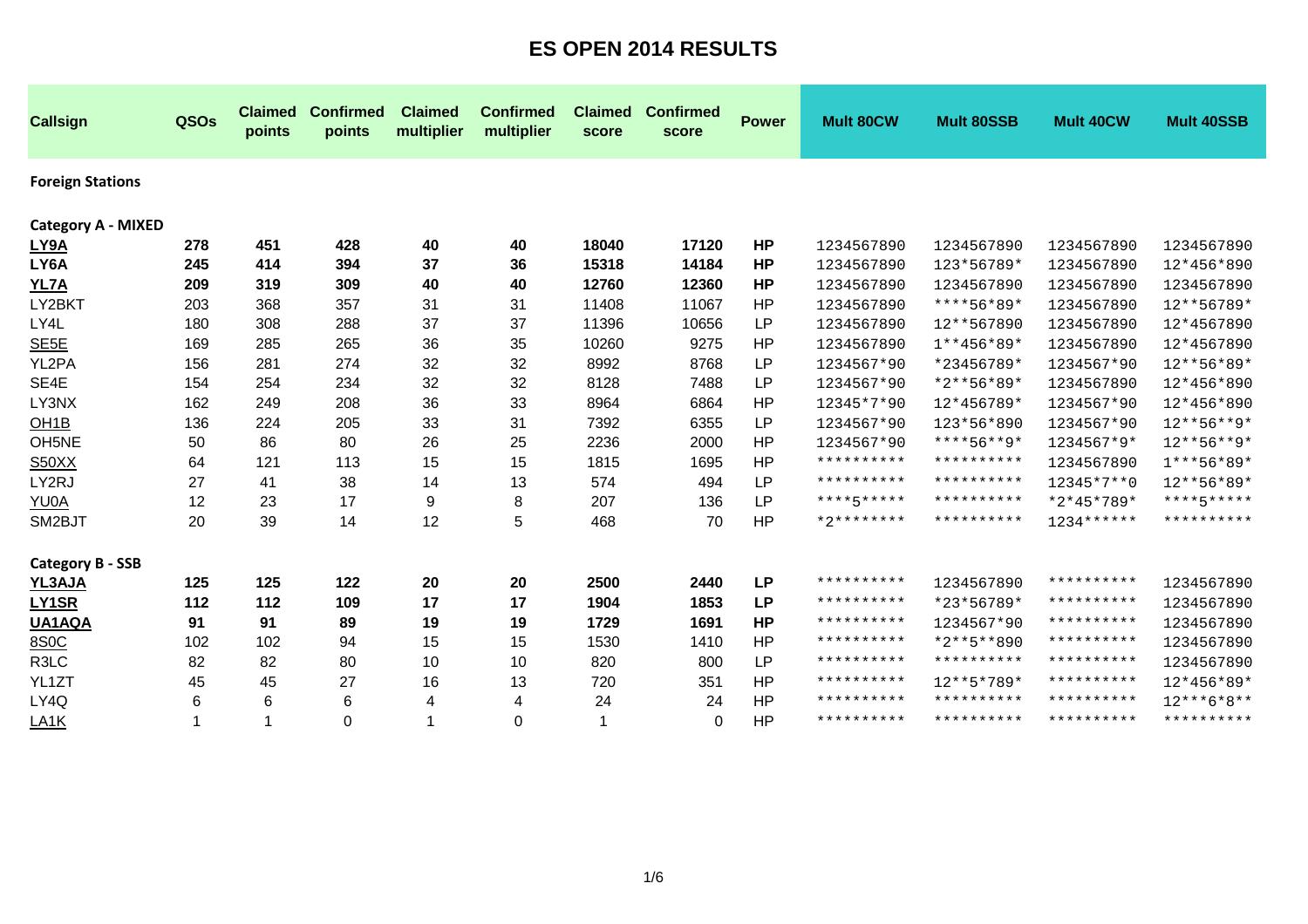| <b>Callsign</b>           | QSOs           | <b>Claimed</b><br>points | <b>Confirmed</b><br>points | <b>Claimed</b><br>multiplier | <b>Confirmed</b><br>multiplier | <b>Claimed</b><br>score | <b>Confirmed</b><br>score | <b>Power</b> | <b>Mult 80CW</b> | <b>Mult 80SSB</b> | Mult 40CW    | <b>Mult 40SSB</b>       |
|---------------------------|----------------|--------------------------|----------------------------|------------------------------|--------------------------------|-------------------------|---------------------------|--------------|------------------|-------------------|--------------|-------------------------|
| <b>Foreign Stations</b>   |                |                          |                            |                              |                                |                         |                           |              |                  |                   |              |                         |
| <b>Category A - MIXED</b> |                |                          |                            |                              |                                |                         |                           |              |                  |                   |              |                         |
| LY9A                      | 278            | 451                      | 428                        | 40                           | 40                             | 18040                   | 17120                     | <b>HP</b>    | 1234567890       | 1234567890        | 1234567890   | 1234567890              |
| LY6A                      | 245            | 414                      | 394                        | 37                           | 36                             | 15318                   | 14184                     | <b>HP</b>    | 1234567890       | 123*56789*        | 1234567890   | 12*456*890              |
| <b>YL7A</b>               | 209            | 319                      | 309                        | 40                           | 40                             | 12760                   | 12360                     | HP           | 1234567890       | 1234567890        | 1234567890   | 1234567890              |
| LY2BKT                    | 203            | 368                      | 357                        | 31                           | 31                             | 11408                   | 11067                     | <b>HP</b>    | 1234567890       | ****56*89*        | 1234567890   | 12**56789*              |
| LY4L                      | 180            | 308                      | 288                        | 37                           | 37                             | 11396                   | 10656                     | LP           | 1234567890       | 12**567890        | 1234567890   | 12*4567890              |
| SE <sub>5E</sub>          | 169            | 285                      | 265                        | 36                           | 35                             | 10260                   | 9275                      | HP           | 1234567890       | $1**456*89*$      | 1234567890   | 12*4567890              |
| YL2PA                     | 156            | 281                      | 274                        | 32                           | 32                             | 8992                    | 8768                      | LP           | 1234567*90       | *23456789*        | 1234567*90   | 12**56*89*              |
| SE4E                      | 154            | 254                      | 234                        | 32                           | 32                             | 8128                    | 7488                      | LP           | 1234567*90       | *2**56*89*        | 1234567890   | 12*456*890              |
| LY3NX                     | 162            | 249                      | 208                        | 36                           | 33                             | 8964                    | 6864                      | <b>HP</b>    | 12345*7*90       | 12*456789*        | 1234567*90   | 12*456*890              |
| OH <sub>1</sub> B         | 136            | 224                      | 205                        | 33                           | 31                             | 7392                    | 6355                      | LP           | 1234567*90       | 123*56*890        | 1234567*90   | $12***56***9*$          |
| OH <sub>5</sub> NE        | 50             | 86                       | 80                         | 26                           | 25                             | 2236                    | 2000                      | HP           | 1234567*90       | ****56**9*        | 1234567*9*   | $12***56***9*$          |
| S50XX                     | 64             | 121                      | 113                        | 15                           | 15                             | 1815                    | 1695                      | HP           | **********       | **********        | 1234567890   | 1***56*89*              |
| LY2RJ                     | 27             | 41                       | 38                         | 14                           | 13                             | 574                     | 494                       | LP           | **********       | **********        | 12345*7**0   | 12**56*89*              |
| YU0A                      | 12             | 23                       | 17                         | 9                            | 8                              | 207                     | 136                       | <b>LP</b>    | ****5*****       | **********        | $*2*45*789*$ | $***$ * * * 5 * * * * * |
| SM2BJT                    | 20             | 39                       | 14                         | 12                           | 5                              | 468                     | 70                        | <b>HP</b>    | $*2*********$    | **********        | $1234******$ | **********              |
| <b>Category B - SSB</b>   |                |                          |                            |                              |                                |                         |                           |              |                  |                   |              |                         |
| YL3AJA                    | 125            | 125                      | 122                        | 20                           | 20                             | 2500                    | 2440                      | <b>LP</b>    | **********       | 1234567890        | **********   | 1234567890              |
| LY1SR                     | 112            | 112                      | 109                        | 17                           | 17                             | 1904                    | 1853                      | <b>LP</b>    | **********       | *23*56789*        | **********   | 1234567890              |
| UA1AQA                    | 91             | 91                       | 89                         | 19                           | 19                             | 1729                    | 1691                      | HP           | **********       | 1234567*90        | **********   | 1234567890              |
| 8S0C                      | 102            | 102                      | 94                         | 15                           | 15                             | 1530                    | 1410                      | <b>HP</b>    | **********       | $*2**5**890$      | **********   | 1234567890              |
| R <sub>3</sub> LC         | 82             | 82                       | 80                         | 10                           | 10                             | 820                     | 800                       | <b>LP</b>    | **********       | **********        | **********   | 1234567890              |
| YL1ZT                     | 45             | 45                       | 27                         | 16                           | 13                             | 720                     | 351                       | <b>HP</b>    | **********       | 12**5*789*        | **********   | 12*456*89*              |
| LY4Q                      | 6              | 6                        | 6                          | 4                            | 4                              | 24                      | 24                        | HP           | **********       | **********        | **********   | $12***6*8**$            |
| LA <sub>1</sub> K         | $\overline{1}$ | $\mathbf{1}$             | $\Omega$                   | $\blacktriangleleft$         | $\Omega$                       | 1                       | $\Omega$                  | HP           | **********       | **********        | **********   | **********              |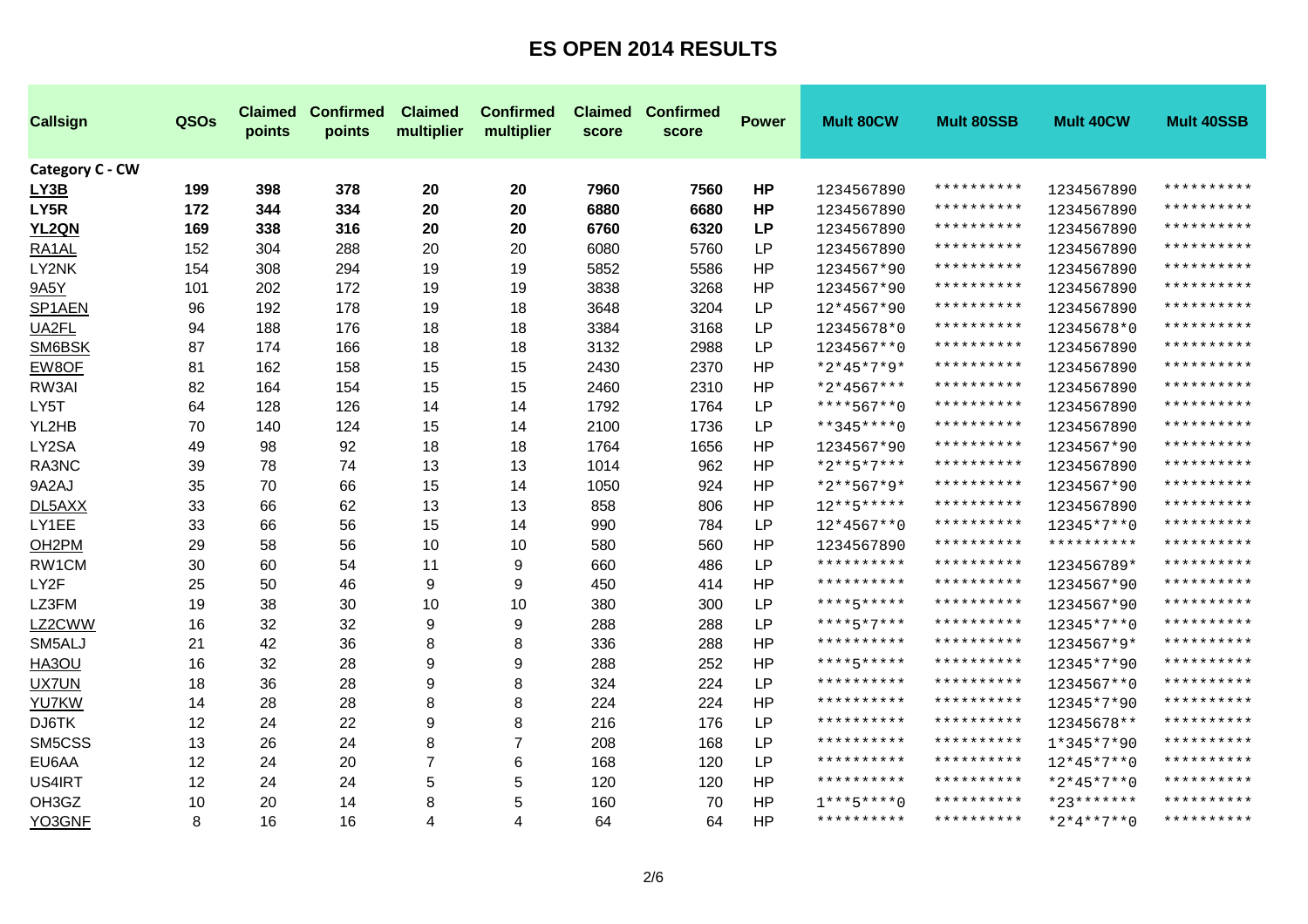| <b>Callsign</b>    | QSOs | <b>Claimed</b><br>points | <b>Confirmed</b><br>points | <b>Claimed</b><br>multiplier | <b>Confirmed</b><br>multiplier | <b>Claimed</b><br>score | <b>Confirmed</b><br>score | <b>Power</b> | <b>Mult 80CW</b> | <b>Mult 80SSB</b>   | <b>Mult 40CW</b> | Mult 40SSB |
|--------------------|------|--------------------------|----------------------------|------------------------------|--------------------------------|-------------------------|---------------------------|--------------|------------------|---------------------|------------------|------------|
| Category C - CW    |      |                          |                            |                              |                                |                         |                           |              |                  |                     |                  |            |
| LY3B               | 199  | 398                      | 378                        | 20                           | 20                             | 7960                    | 7560                      | <b>HP</b>    | 1234567890       | **********          | 1234567890       | ********** |
| LY5R               | 172  | 344                      | 334                        | 20                           | 20                             | 6880                    | 6680                      | <b>HP</b>    | 1234567890       | * * * * * * * * * * | 1234567890       | ********** |
| YL <sub>2QN</sub>  | 169  | 338                      | 316                        | 20                           | 20                             | 6760                    | 6320                      | <b>LP</b>    | 1234567890       | * * * * * * * * * * | 1234567890       | ********** |
| RA1AL              | 152  | 304                      | 288                        | 20                           | 20                             | 6080                    | 5760                      | <b>LP</b>    | 1234567890       | **********          | 1234567890       | ********** |
| LY2NK              | 154  | 308                      | 294                        | 19                           | 19                             | 5852                    | 5586                      | HP           | 1234567*90       | **********          | 1234567890       | ********** |
| 9A5Y               | 101  | 202                      | 172                        | 19                           | 19                             | 3838                    | 3268                      | HP           | 1234567*90       | **********          | 1234567890       | ********** |
| SP1AEN             | 96   | 192                      | 178                        | 19                           | 18                             | 3648                    | 3204                      | LP           | 12*4567*90       | **********          | 1234567890       | ********** |
| UA2FL              | 94   | 188                      | 176                        | 18                           | 18                             | 3384                    | 3168                      | LP           | 12345678*0       | **********          | 12345678*0       | ********** |
| SM6BSK             | 87   | 174                      | 166                        | 18                           | 18                             | 3132                    | 2988                      | <b>LP</b>    | 1234567**0       | **********          | 1234567890       | ********** |
| EW8OF              | 81   | 162                      | 158                        | 15                           | 15                             | 2430                    | 2370                      | HP           | $*2*45*7*9*$     | **********          | 1234567890       | ********** |
| RW3AI              | 82   | 164                      | 154                        | 15                           | 15                             | 2460                    | 2310                      | HP           | $*2*4567***$     | **********          | 1234567890       | ********** |
| LY5T               | 64   | 128                      | 126                        | 14                           | 14                             | 1792                    | 1764                      | LP           | ****567**0       | **********          | 1234567890       | ********** |
| YL2HB              | 70   | 140                      | 124                        | 15                           | 14                             | 2100                    | 1736                      | LP           | **345****0       | **********          | 1234567890       | ********** |
| LY2SA              | 49   | 98                       | 92                         | 18                           | 18                             | 1764                    | 1656                      | <b>HP</b>    | 1234567*90       | **********          | 1234567*90       | ********** |
| RA3NC              | 39   | 78                       | 74                         | 13                           | 13                             | 1014                    | 962                       | HP           | $*2***5*7***$    | **********          | 1234567890       | ********** |
| 9A2AJ              | 35   | 70                       | 66                         | 15                           | 14                             | 1050                    | 924                       | HP           | $*2**567*9*$     | **********          | 1234567*90       | ********** |
| DL5AXX             | 33   | 66                       | 62                         | 13                           | 13                             | 858                     | 806                       | HP           | $12***5***$      | **********          | 1234567890       | ********** |
| LY1EE              | 33   | 66                       | 56                         | 15                           | 14                             | 990                     | 784                       | LP           | 12*4567**0       | **********          | 12345*7**0       | ********** |
| OH <sub>2</sub> PM | 29   | 58                       | 56                         | 10                           | 10                             | 580                     | 560                       | HP           | 1234567890       | **********          | **********       | ********** |
| RW1CM              | 30   | 60                       | 54                         | 11                           | 9                              | 660                     | 486                       | <b>LP</b>    | **********       | **********          | 123456789*       | ********** |
| LY2F               | 25   | 50                       | 46                         | 9                            | 9                              | 450                     | 414                       | <b>HP</b>    | **********       | **********          | 1234567*90       | ********** |
| LZ3FM              | 19   | 38                       | 30                         | 10                           | 10                             | 380                     | 300                       | <b>LP</b>    | ****5*****       | **********          | 1234567*90       | ********** |
| LZ2CWW             | 16   | 32                       | 32                         | 9                            | 9                              | 288                     | 288                       | <b>LP</b>    | ****5*7***       | **********          | 12345*7**0       | ********** |
| SM5ALJ             | 21   | 42                       | 36                         | 8                            | 8                              | 336                     | 288                       | <b>HP</b>    | **********       | **********          | 1234567*9*       | ********** |
| HA3OU              | 16   | 32                       | 28                         | 9                            | 9                              | 288                     | 252                       | HP           | ****5*****       | **********          | 12345*7*90       | ********** |
| <b>UX7UN</b>       | 18   | 36                       | 28                         | 9                            | 8                              | 324                     | 224                       | <b>LP</b>    | **********       | **********          | 1234567**0       | ********** |
| YU7KW              | 14   | 28                       | 28                         | 8                            | 8                              | 224                     | 224                       | <b>HP</b>    | **********       | **********          | 12345*7*90       | ********** |
| DJ6TK              | 12   | 24                       | 22                         | 9                            | 8                              | 216                     | 176                       | <b>LP</b>    | **********       | **********          | 12345678**       | ********** |
| SM5CSS             | 13   | 26                       | 24                         | 8                            | 7                              | 208                     | 168                       | <b>LP</b>    | **********       | **********          | 1*345*7*90       | ********** |
| EU6AA              | 12   | 24                       | 20                         | $\overline{7}$               | 6                              | 168                     | 120                       | <b>LP</b>    | **********       | **********          | $12*45*7**0$     | ********** |
| US4IRT             | 12   | 24                       | 24                         | 5                            | 5                              | 120                     | 120                       | <b>HP</b>    | **********       | **********          | $*2*45*7**0$     | ********** |
| OH3GZ              | 10   | 20                       | 14                         | 8                            | 5                              | 160                     | 70                        | <b>HP</b>    | $1***5***0$      | **********          | $*23******$      | ********** |
| YO3GNF             | 8    | 16                       | 16                         | 4                            | 4                              | 64                      | 64                        | <b>HP</b>    | **********       | **********          | $*2*4**7**0$     | ********** |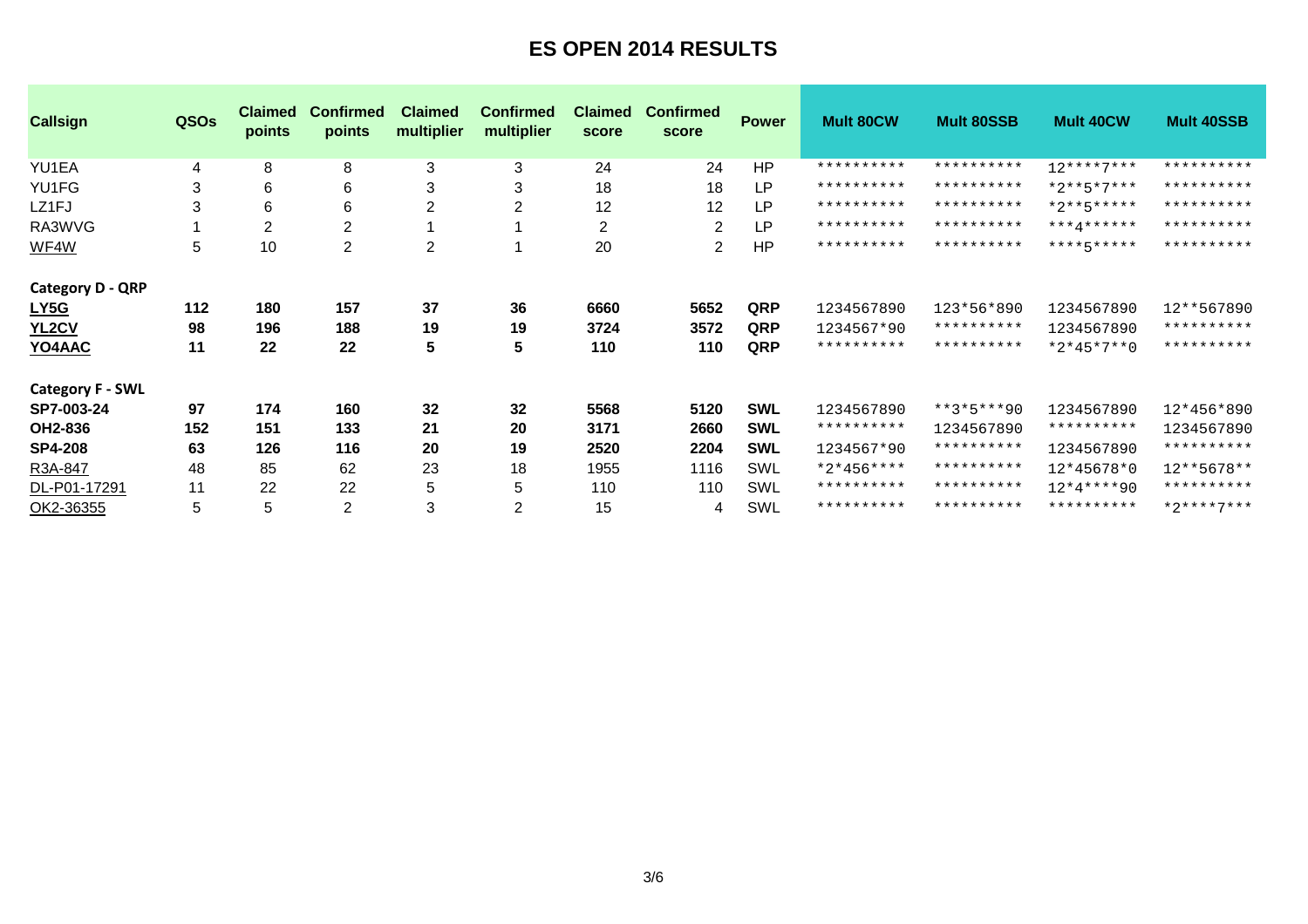| <b>Callsign</b>         | QSOs | <b>Claimed</b><br>points | <b>Confirmed</b><br>points | <b>Claimed</b><br>multiplier | <b>Confirmed</b><br>multiplier | <b>Claimed</b><br>score | <b>Confirmed</b><br>score | <b>Power</b> | <b>Mult 80CW</b> | <b>Mult 80SSB</b> | <b>Mult 40CW</b> | <b>Mult 40SSB</b> |
|-------------------------|------|--------------------------|----------------------------|------------------------------|--------------------------------|-------------------------|---------------------------|--------------|------------------|-------------------|------------------|-------------------|
| YU1EA                   | 4    | 8                        | 8                          | 3                            | 3                              | 24                      | 24                        | HP           | **********       | **********        | $12***7***$      | **********        |
| YU1FG                   | 3    | 6                        | 6                          | 3                            | 3                              | 18                      | 18                        | LP           | **********       | **********        | $*2**5*7***$     | **********        |
| LZ1FJ                   | 3    | 6                        | 6                          | $\overline{c}$               | $\overline{2}$                 | 12                      | 12                        | LP           | **********       | **********        | $*2**5****$      | **********        |
| RA3WVG                  |      | 2                        | $\overline{c}$             |                              |                                | $\overline{c}$          | 2                         | LP           | **********       | **********        | $***4******$     | **********        |
| WF4W                    | 5    | 10                       | $\overline{2}$             | $\overline{c}$               |                                | 20                      | 2                         | <b>HP</b>    | **********       | **********        | **********       | **********        |
| <b>Category D - QRP</b> |      |                          |                            |                              |                                |                         |                           |              |                  |                   |                  |                   |
| <u>LY5G</u>             | 112  | 180                      | 157                        | 37                           | 36                             | 6660                    | 5652                      | QRP          | 1234567890       | 123*56*890        | 1234567890       | 12**567890        |
| YL <sub>2</sub> CV      | 98   | 196                      | 188                        | 19                           | 19                             | 3724                    | 3572                      | QRP          | 1234567*90       | **********        | 1234567890       | **********        |
| YO4AAC                  | 11   | 22                       | 22                         | 5                            | 5                              | 110                     | 110                       | QRP          | **********       | **********        | $*2*45*7**0$     | **********        |
| <b>Category F - SWL</b> |      |                          |                            |                              |                                |                         |                           |              |                  |                   |                  |                   |
| SP7-003-24              | 97   | 174                      | 160                        | 32                           | 32                             | 5568                    | 5120                      | <b>SWL</b>   | 1234567890       | $***3*5***90$     | 1234567890       | 12*456*890        |
| OH2-836                 | 152  | 151                      | 133                        | 21                           | 20                             | 3171                    | 2660                      | <b>SWL</b>   | **********       | 1234567890        | **********       | 1234567890        |
| <b>SP4-208</b>          | 63   | 126                      | 116                        | 20                           | 19                             | 2520                    | 2204                      | <b>SWL</b>   | 1234567*90       | **********        | 1234567890       | **********        |
| R3A-847                 | 48   | 85                       | 62                         | 23                           | 18                             | 1955                    | 1116                      | SWL          | $*2*456***$      | **********        | 12*45678*0       | 12**5678**        |
| DL-P01-17291            | 11   | 22                       | 22                         | 5                            | 5                              | 110                     | 110                       | SWL          | **********       | **********        | $12*4***90$      | **********        |
| OK2-36355               | 5    | 5                        | $\overline{2}$             | 3                            | $\overline{2}$                 | 15                      | 4                         | SWL          | **********       | **********        | **********       | $*2***7***$       |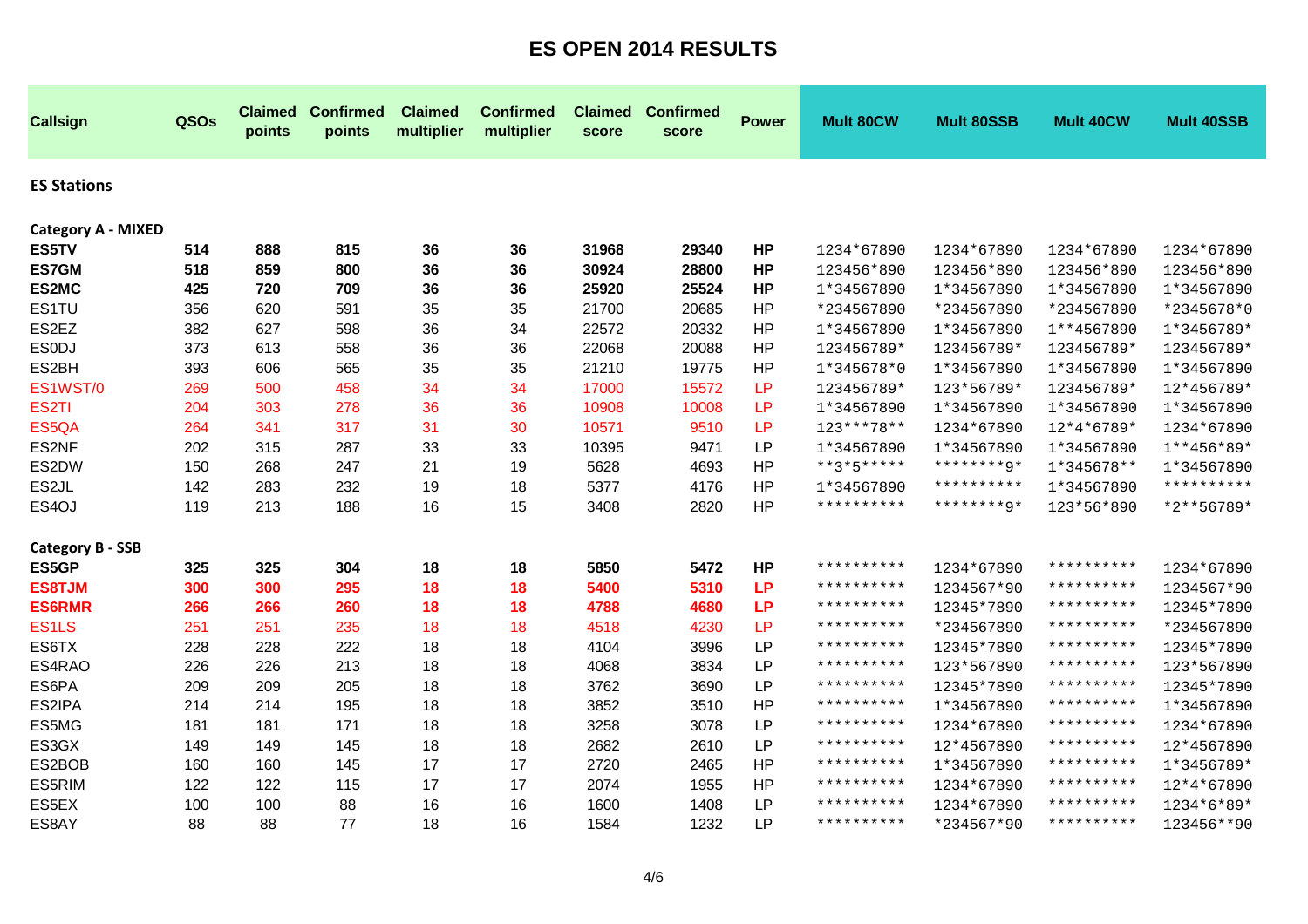| <b>Callsign</b>           | QSOs | <b>Claimed</b><br>points | <b>Confirmed</b><br>points | <b>Claimed</b><br>multiplier | <b>Confirmed</b><br>multiplier | <b>Claimed</b><br>score | <b>Confirmed</b><br>score | <b>Power</b> | <b>Mult 80CW</b> | <b>Mult 80SSB</b> | Mult 40CW  | <b>Mult 40SSB</b> |
|---------------------------|------|--------------------------|----------------------------|------------------------------|--------------------------------|-------------------------|---------------------------|--------------|------------------|-------------------|------------|-------------------|
| <b>ES Stations</b>        |      |                          |                            |                              |                                |                         |                           |              |                  |                   |            |                   |
| <b>Category A - MIXED</b> |      |                          |                            |                              |                                |                         |                           |              |                  |                   |            |                   |
| ES5TV                     | 514  | 888                      | 815                        | 36                           | 36                             | 31968                   | 29340                     | <b>HP</b>    | 1234*67890       | 1234*67890        | 1234*67890 | 1234*67890        |
| <b>ES7GM</b>              | 518  | 859                      | 800                        | 36                           | 36                             | 30924                   | 28800                     | <b>HP</b>    | 123456*890       | 123456*890        | 123456*890 | 123456*890        |
| ES2MC                     | 425  | 720                      | 709                        | 36                           | 36                             | 25920                   | 25524                     | <b>HP</b>    | 1*34567890       | 1*34567890        | 1*34567890 | 1*34567890        |
| ES1TU                     | 356  | 620                      | 591                        | 35                           | 35                             | 21700                   | 20685                     | HP           | *234567890       | *234567890        | *234567890 | *2345678*0        |
| ES2EZ                     | 382  | 627                      | 598                        | 36                           | 34                             | 22572                   | 20332                     | HP           | 1*34567890       | 1*34567890        | 1**4567890 | 1*3456789*        |
| <b>ESODJ</b>              | 373  | 613                      | 558                        | 36                           | 36                             | 22068                   | 20088                     | HP           | 123456789*       | 123456789*        | 123456789* | 123456789*        |
| ES2BH                     | 393  | 606                      | 565                        | 35                           | 35                             | 21210                   | 19775                     | <b>HP</b>    | 1*345678*0       | 1*34567890        | 1*34567890 | 1*34567890        |
| ES1WST/0                  | 269  | 500                      | 458                        | 34                           | 34                             | 17000                   | 15572                     | LP           | 123456789*       | 123*56789*        | 123456789* | 12*456789*        |
| ES <sub>2</sub> TI        | 204  | 303                      | 278                        | 36                           | 36                             | 10908                   | 10008                     | LP           | 1*34567890       | 1*34567890        | 1*34567890 | 1*34567890        |
| ES5QA                     | 264  | 341                      | 317                        | 31                           | 30                             | 10571                   | 9510                      | LP           | 123***78**       | 1234*67890        | 12*4*6789* | 1234*67890        |
| ES2NF                     | 202  | 315                      | 287                        | 33                           | 33                             | 10395                   | 9471                      | LP           | 1*34567890       | 1*34567890        | 1*34567890 | $1**456*89*$      |
| ES2DW                     | 150  | 268                      | 247                        | 21                           | 19                             | 5628                    | 4693                      | HP           | **3*5*****       | ********9*        | 1*345678** | 1*34567890        |
| ES2JL                     | 142  | 283                      | 232                        | 19                           | 18                             | 5377                    | 4176                      | HP           | 1*34567890       | **********        | 1*34567890 | **********        |
| ES4OJ                     | 119  | 213                      | 188                        | 16                           | 15                             | 3408                    | 2820                      | HP           | **********       | ********0*        | 123*56*890 | *2**56789*        |
| <b>Category B - SSB</b>   |      |                          |                            |                              |                                |                         |                           |              |                  |                   |            |                   |
| ES5GP                     | 325  | 325                      | 304                        | 18                           | 18                             | 5850                    | 5472                      | <b>HP</b>    | **********       | 1234*67890        | ********** | 1234*67890        |
| <b>ES8TJM</b>             | 300  | 300                      | 295                        | 18                           | 18                             | 5400                    | 5310                      | <b>LP</b>    | **********       | 1234567*90        | ********** | 1234567*90        |
| <b>ES6RMR</b>             | 266  | 266                      | 260                        | 18                           | 18                             | 4788                    | 4680                      | <b>LP</b>    | **********       | 12345*7890        | ********** | 12345*7890        |
| ES <sub>1</sub> LS        | 251  | 251                      | 235                        | 18                           | 18                             | 4518                    | 4230                      | LP           | **********       | *234567890        | ********** | *234567890        |
| ES6TX                     | 228  | 228                      | 222                        | 18                           | 18                             | 4104                    | 3996                      | LP           | **********       | 12345*7890        | ********** | 12345*7890        |
| ES4RAO                    | 226  | 226                      | 213                        | 18                           | 18                             | 4068                    | 3834                      | LP           | **********       | 123*567890        | ********** | 123*567890        |
| ES6PA                     | 209  | 209                      | 205                        | 18                           | 18                             | 3762                    | 3690                      | LP           | **********       | 12345*7890        | ********** | 12345*7890        |
| ES2IPA                    | 214  | 214                      | 195                        | 18                           | 18                             | 3852                    | 3510                      | <b>HP</b>    | **********       | 1*34567890        | ********** | 1*34567890        |
| ES5MG                     | 181  | 181                      | 171                        | 18                           | 18                             | 3258                    | 3078                      | LP           | **********       | 1234*67890        | ********** | 1234*67890        |
| ES3GX                     | 149  | 149                      | 145                        | 18                           | 18                             | 2682                    | 2610                      | LP           | **********       | 12*4567890        | ********** | 12*4567890        |
| ES2BOB                    | 160  | 160                      | 145                        | 17                           | 17                             | 2720                    | 2465                      | HP           | **********       | 1*34567890        | ********** | 1*3456789*        |
| ES5RIM                    | 122  | 122                      | 115                        | 17                           | 17                             | 2074                    | 1955                      | HP           | **********       | 1234*67890        | ********** | 12*4*67890        |
| ES5EX                     | 100  | 100                      | 88                         | 16                           | 16                             | 1600                    | 1408                      | LP           | **********       | 1234*67890        | ********** | 1234*6*89*        |
| ES8AY                     | 88   | 88                       | 77                         | 18                           | 16                             | 1584                    | 1232                      | <b>LP</b>    | **********       | *234567*90        | ********** | 123456**90        |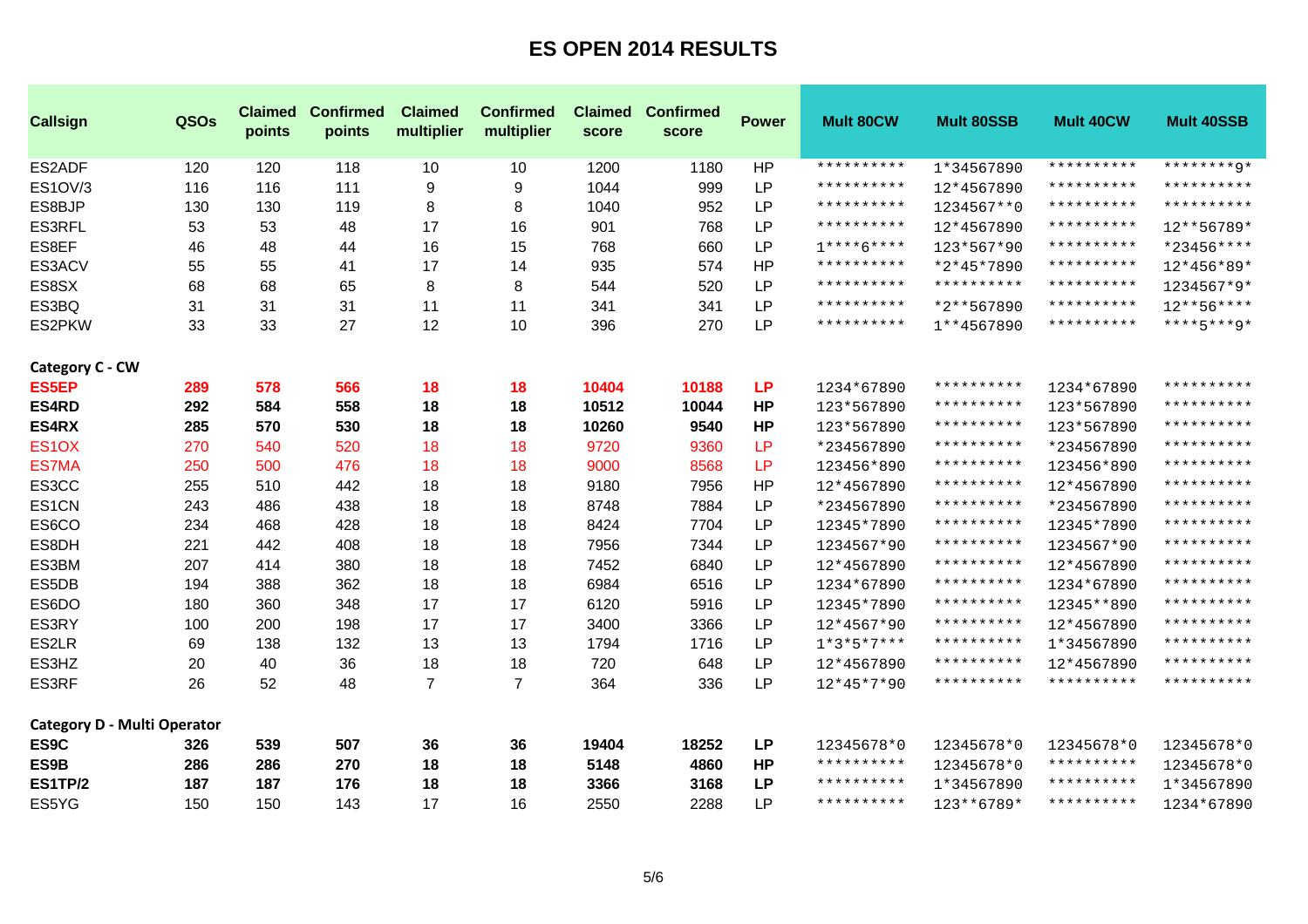| <b>Callsign</b>                    | QSOs | <b>Claimed</b><br>points | <b>Confirmed</b><br>points | <b>Claimed</b><br>multiplier | <b>Confirmed</b><br>multiplier | <b>Claimed</b><br>score | <b>Confirmed</b><br>score | <b>Power</b> | Mult 80CW           | <b>Mult 80SSB</b> | <b>Mult 40CW</b> | <b>Mult 40SSB</b> |
|------------------------------------|------|--------------------------|----------------------------|------------------------------|--------------------------------|-------------------------|---------------------------|--------------|---------------------|-------------------|------------------|-------------------|
| ES2ADF                             | 120  | 120                      | 118                        | 10                           | 10                             | 1200                    | 1180                      | HP           | **********          | 1*34567890        | **********       | ********9*        |
| ES1OV/3                            | 116  | 116                      | 111                        | 9                            | 9                              | 1044                    | 999                       | <b>LP</b>    | **********          | 12*4567890        | **********       | **********        |
| ES8BJP                             | 130  | 130                      | 119                        | 8                            | 8                              | 1040                    | 952                       | <b>LP</b>    | **********          | 1234567**0        | **********       | **********        |
| ES3RFL                             | 53   | 53                       | 48                         | 17                           | 16                             | 901                     | 768                       | <b>LP</b>    | **********          | 12*4567890        | **********       | 12**56789*        |
| ES8EF                              | 46   | 48                       | 44                         | 16                           | 15                             | 768                     | 660                       | <b>LP</b>    | $1***6***$          | 123*567*90        | **********       | *23456****        |
| ES3ACV                             | 55   | 55                       | 41                         | 17                           | 14                             | 935                     | 574                       | HP           | **********          | *2*45*7890        | **********       | 12*456*89*        |
| ES8SX                              | 68   | 68                       | 65                         | 8                            | 8                              | 544                     | 520                       | <b>LP</b>    | **********          | **********        | **********       | 1234567*9*        |
| ES3BQ                              | 31   | 31                       | 31                         | 11                           | 11                             | 341                     | 341                       | LP           | **********          | *2**567890        | **********       | $12***56***$      |
| ES2PKW                             | 33   | 33                       | 27                         | 12                           | 10                             | 396                     | 270                       | <b>LP</b>    | **********          | 1**4567890        | **********       | $***+5***9*$      |
| Category C - CW                    |      |                          |                            |                              |                                |                         |                           |              |                     |                   |                  |                   |
| <b>ES5EP</b>                       | 289  | 578                      | 566                        | 18                           | 18                             | 10404                   | 10188                     | <b>LP</b>    | 1234*67890          | **********        | 1234*67890       | **********        |
| ES4RD                              | 292  | 584                      | 558                        | 18                           | 18                             | 10512                   | 10044                     | <b>HP</b>    | 123*567890          | **********        | 123*567890       | **********        |
| ES4RX                              | 285  | 570                      | 530                        | 18                           | 18                             | 10260                   | 9540                      | <b>HP</b>    | 123*567890          | **********        | 123*567890       | **********        |
| ES <sub>1</sub> OX                 | 270  | 540                      | 520                        | 18                           | 18                             | 9720                    | 9360                      | LP           | *234567890          | **********        | *234567890       | **********        |
| <b>ES7MA</b>                       | 250  | 500                      | 476                        | 18                           | 18                             | 9000                    | 8568                      | LP           | 123456*890          | **********        | 123456*890       | **********        |
| ES3CC                              | 255  | 510                      | 442                        | 18                           | 18                             | 9180                    | 7956                      | HP           | 12*4567890          | **********        | 12*4567890       | **********        |
| ES1CN                              | 243  | 486                      | 438                        | 18                           | 18                             | 8748                    | 7884                      | <b>LP</b>    | *234567890          | **********        | *234567890       | **********        |
| ES6CO                              | 234  | 468                      | 428                        | 18                           | 18                             | 8424                    | 7704                      | <b>LP</b>    | 12345*7890          | **********        | 12345*7890       | **********        |
| ES8DH                              | 221  | 442                      | 408                        | 18                           | 18                             | 7956                    | 7344                      | LP           | 1234567*90          | **********        | 1234567*90       | **********        |
| ES3BM                              | 207  | 414                      | 380                        | 18                           | 18                             | 7452                    | 6840                      | <b>LP</b>    | 12*4567890          | **********        | 12*4567890       | **********        |
| ES5DB                              | 194  | 388                      | 362                        | 18                           | 18                             | 6984                    | 6516                      | <b>LP</b>    | 1234*67890          | **********        | 1234*67890       | **********        |
| ES6DO                              | 180  | 360                      | 348                        | 17                           | 17                             | 6120                    | 5916                      | <b>LP</b>    | 12345*7890          | **********        | 12345**890       | **********        |
| ES3RY                              | 100  | 200                      | 198                        | 17                           | 17                             | 3400                    | 3366                      | <b>LP</b>    | 12*4567*90          | **********        | 12*4567890       | **********        |
| ES2LR                              | 69   | 138                      | 132                        | 13                           | 13                             | 1794                    | 1716                      | <b>LP</b>    | $1*3*5*7***$        | **********        | 1*34567890       | **********        |
| ES3HZ                              | 20   | 40                       | 36                         | 18                           | 18                             | 720                     | 648                       | LP           | 12*4567890          | **********        | 12*4567890       | **********        |
| ES3RF                              | 26   | 52                       | 48                         | $\overline{7}$               | $\overline{7}$                 | 364                     | 336                       | <b>LP</b>    | 12*45*7*90          | **********        | **********       | **********        |
| <b>Category D - Multi Operator</b> |      |                          |                            |                              |                                |                         |                           |              |                     |                   |                  |                   |
| ES9C                               | 326  | 539                      | 507                        | 36                           | 36                             | 19404                   | 18252                     | <b>LP</b>    | 12345678*0          | 12345678*0        | 12345678*0       | 12345678*0        |
| ES9B                               | 286  | 286                      | 270                        | 18                           | 18                             | 5148                    | 4860                      | <b>HP</b>    | **********          | 12345678*0        | **********       | 12345678*0        |
| <b>ES1TP/2</b>                     | 187  | 187                      | 176                        | 18                           | 18                             | 3366                    | 3168                      | <b>LP</b>    | * * * * * * * * * * | 1*34567890        | **********       | 1*34567890        |
| ES5YG                              | 150  | 150                      | 143                        | 17                           | 16                             | 2550                    | 2288                      | <b>LP</b>    | **********          | 123**6789*        | **********       | 1234*67890        |